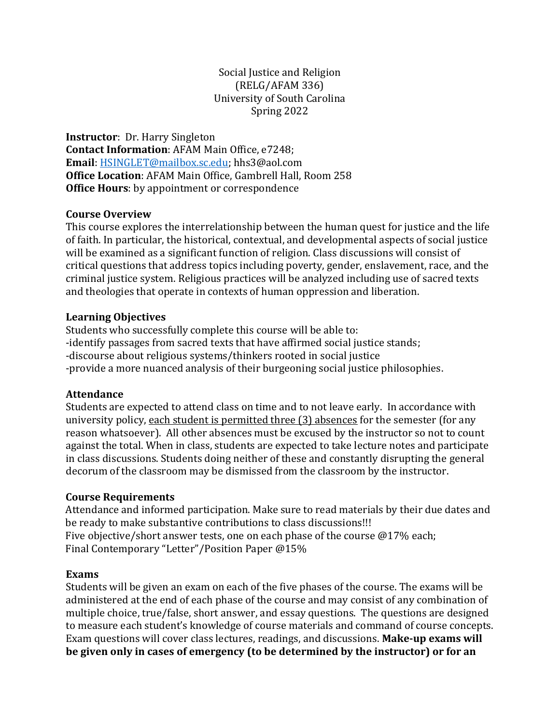#### Social Justice and Religion (RELG/AFAM 336) University of South Carolina Spring 2022

**Instructor**: Dr. Harry Singleton **Contact Information**: AFAM Main Office, e7248; **Email**: [HSINGLET@mailbox.sc.edu;](mailto:HSINGLET@mailbox.sc.edu) hhs3@aol.com **Office Location**: AFAM Main Office, Gambrell Hall, Room 258 **Office Hours**: by appointment or correspondence

#### **Course Overview**

This course explores the interrelationship between the human quest for justice and the life of faith. In particular, the historical, contextual, and developmental aspects of social justice will be examined as a significant function of religion. Class discussions will consist of critical questions that address topics including poverty, gender, enslavement, race, and the criminal justice system. Religious practices will be analyzed including use of sacred texts and theologies that operate in contexts of human oppression and liberation.

#### **Learning Objectives**

Students who successfully complete this course will be able to: -identify passages from sacred texts that have affirmed social justice stands; -discourse about religious systems/thinkers rooted in social justice -provide a more nuanced analysis of their burgeoning social justice philosophies.

## **Attendance**

Students are expected to attend class on time and to not leave early. In accordance with university policy, each student is permitted three (3) absences for the semester (for any reason whatsoever). All other absences must be excused by the instructor so not to count against the total. When in class, students are expected to take lecture notes and participate in class discussions. Students doing neither of these and constantly disrupting the general decorum of the classroom may be dismissed from the classroom by the instructor.

## **Course Requirements**

Attendance and informed participation. Make sure to read materials by their due dates and be ready to make substantive contributions to class discussions!!! Five objective/short answer tests, one on each phase of the course @17% each; Final Contemporary "Letter"/Position Paper @15%

## **Exams**

Students will be given an exam on each of the five phases of the course. The exams will be administered at the end of each phase of the course and may consist of any combination of multiple choice, true/false, short answer, and essay questions. The questions are designed to measure each student's knowledge of course materials and command of course concepts. Exam questions will cover class lectures, readings, and discussions. **Make-up exams will be given only in cases of emergency (to be determined by the instructor) or for an**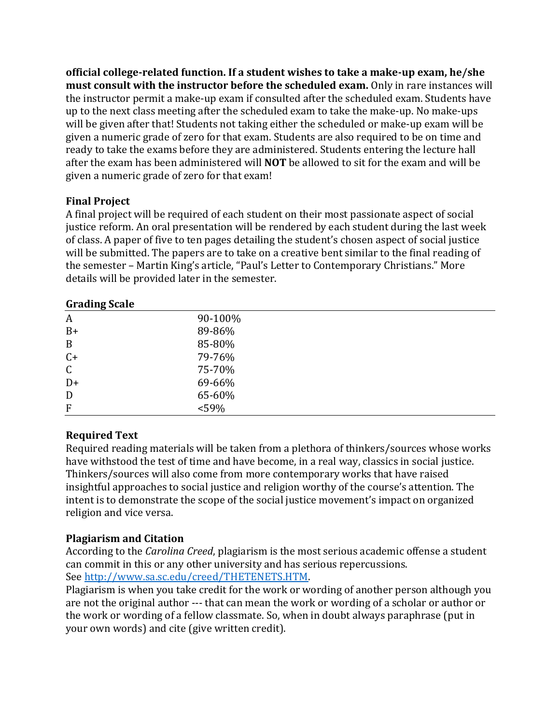**official college-related function. If a student wishes to take a make-up exam, he/she must consult with the instructor before the scheduled exam.** Only in rare instances will the instructor permit a make-up exam if consulted after the scheduled exam. Students have up to the next class meeting after the scheduled exam to take the make-up. No make-ups will be given after that! Students not taking either the scheduled or make-up exam will be given a numeric grade of zero for that exam. Students are also required to be on time and ready to take the exams before they are administered. Students entering the lecture hall after the exam has been administered will **NOT** be allowed to sit for the exam and will be given a numeric grade of zero for that exam!

## **Final Project**

A final project will be required of each student on their most passionate aspect of social justice reform. An oral presentation will be rendered by each student during the last week of class. A paper of five to ten pages detailing the student's chosen aspect of social justice will be submitted. The papers are to take on a creative bent similar to the final reading of the semester – Martin King's article, "Paul's Letter to Contemporary Christians." More details will be provided later in the semester.

| <b>Grading Scale</b> |         |
|----------------------|---------|
| $\boldsymbol{A}$     | 90-100% |
| $B+$                 | 89-86%  |
| $\mathbf B$          | 85-80%  |
| $C+$                 | 79-76%  |
| $\mathsf C$          | 75-70%  |
| $D+$                 | 69-66%  |
| D                    | 65-60%  |
| $\boldsymbol{F}$     | $<$ 59% |
|                      |         |

# **Grading Scale**

## **Required Text**

Required reading materials will be taken from a plethora of thinkers/sources whose works have withstood the test of time and have become, in a real way, classics in social justice. Thinkers/sources will also come from more contemporary works that have raised insightful approaches to social justice and religion worthy of the course's attention. The intent is to demonstrate the scope of the social justice movement's impact on organized religion and vice versa.

## **Plagiarism and Citation**

According to the *Carolina Creed*, plagiarism is the most serious academic offense a student can commit in this or any other university and has serious repercussions. See [http://www.sa.sc.edu/creed/THETENETS.HTM.](http://www.sa.sc.edu/creed/THETENETS.HTM)

Plagiarism is when you take credit for the work or wording of another person although you are not the original author --- that can mean the work or wording of a scholar or author or the work or wording of a fellow classmate. So, when in doubt always paraphrase (put in your own words) and cite (give written credit).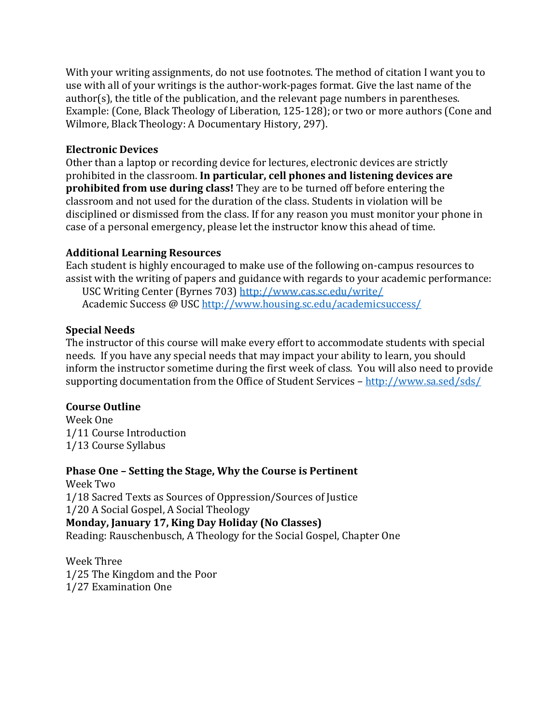With your writing assignments, do not use footnotes. The method of citation I want you to use with all of your writings is the author-work-pages format. Give the last name of the author(s), the title of the publication, and the relevant page numbers in parentheses. Example: (Cone, Black Theology of Liberation, 125-128); or two or more authors (Cone and Wilmore, Black Theology: A Documentary History, 297).

### **Electronic Devices**

Other than a laptop or recording device for lectures, electronic devices are strictly prohibited in the classroom. **In particular, cell phones and listening devices are prohibited from use during class!** They are to be turned off before entering the classroom and not used for the duration of the class. Students in violation will be disciplined or dismissed from the class. If for any reason you must monitor your phone in case of a personal emergency, please let the instructor know this ahead of time.

## **Additional Learning Resources**

Each student is highly encouraged to make use of the following on-campus resources to assist with the writing of papers and guidance with regards to your academic performance: USC Writing Center (Byrnes 703)<http://www.cas.sc.edu/write/> Academic Success @ US[C http://www.housing.sc.edu/academicsuccess/](http://www.housing.sc.edu/academicsuccess/)

## **Special Needs**

The instructor of this course will make every effort to accommodate students with special needs. If you have any special needs that may impact your ability to learn, you should inform the instructor sometime during the first week of class. You will also need to provide supporting documentation from the Office of Student Services – <http://www.sa.sed/sds/>

#### **Course Outline**

Week One 1/11 Course Introduction 1/13 Course Syllabus

## **Phase One – Setting the Stage, Why the Course is Pertinent**

Week Two 1/18 Sacred Texts as Sources of Oppression/Sources of Justice 1/20 A Social Gospel, A Social Theology **Monday, January 17, King Day Holiday (No Classes)** Reading: Rauschenbusch, A Theology for the Social Gospel, Chapter One

Week Three 1/25 The Kingdom and the Poor 1/27 Examination One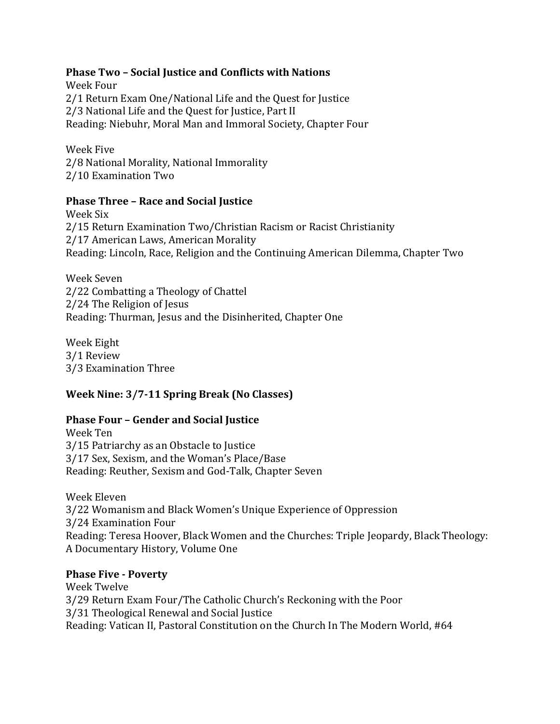#### **Phase Two – Social Justice and Conflicts with Nations**

Week Four 2/1 Return Exam One/National Life and the Quest for Justice 2/3 National Life and the Quest for Justice, Part II Reading: Niebuhr, Moral Man and Immoral Society, Chapter Four

Week Five 2/8 National Morality, National Immorality 2/10 Examination Two

#### **Phase Three – Race and Social Justice**

Week Six 2/15 Return Examination Two/Christian Racism or Racist Christianity 2/17 American Laws, American Morality Reading: Lincoln, Race, Religion and the Continuing American Dilemma, Chapter Two

Week Seven 2/22 Combatting a Theology of Chattel 2/24 The Religion of Jesus Reading: Thurman, Jesus and the Disinherited, Chapter One

Week Eight 3/1 Review 3/3 Examination Three

## **Week Nine: 3/7-11 Spring Break (No Classes)**

#### **Phase Four – Gender and Social Justice**

Week Ten 3/15 Patriarchy as an Obstacle to Justice 3/17 Sex, Sexism, and the Woman's Place/Base Reading: Reuther, Sexism and God-Talk, Chapter Seven

Week Eleven 3/22 Womanism and Black Women's Unique Experience of Oppression 3/24 Examination Four Reading: Teresa Hoover, Black Women and the Churches: Triple Jeopardy, Black Theology: A Documentary History, Volume One

#### **Phase Five - Poverty**

Week Twelve 3/29 Return Exam Four/The Catholic Church's Reckoning with the Poor 3/31 Theological Renewal and Social Justice Reading: Vatican II, Pastoral Constitution on the Church In The Modern World, #64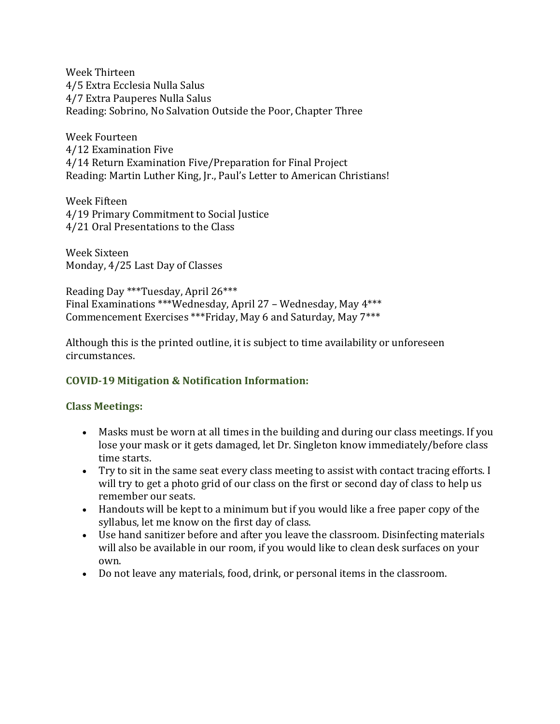Week Thirteen 4/5 Extra Ecclesia Nulla Salus 4/7 Extra Pauperes Nulla Salus Reading: Sobrino, No Salvation Outside the Poor, Chapter Three

Week Fourteen 4/12 Examination Five 4/14 Return Examination Five/Preparation for Final Project Reading: Martin Luther King, Jr., Paul's Letter to American Christians!

Week Fifteen 4/19 Primary Commitment to Social Justice 4/21 Oral Presentations to the Class

Week Sixteen Monday, 4/25 Last Day of Classes

Reading Day \*\*\*Tuesday, April 26\*\*\* Final Examinations \*\*\*Wednesday, April 27 – Wednesday, May 4\*\*\* Commencement Exercises \*\*\*Friday, May 6 and Saturday, May 7\*\*\*

Although this is the printed outline, it is subject to time availability or unforeseen circumstances.

## **COVID-19 Mitigation & Notification Information:**

#### **Class Meetings:**

- Masks must be worn at all times in the building and during our class meetings. If you lose your mask or it gets damaged, let Dr. Singleton know immediately/before class time starts.
- Try to sit in the same seat every class meeting to assist with contact tracing efforts. I will try to get a photo grid of our class on the first or second day of class to help us remember our seats.
- Handouts will be kept to a minimum but if you would like a free paper copy of the syllabus, let me know on the first day of class.
- Use hand sanitizer before and after you leave the classroom. Disinfecting materials will also be available in our room, if you would like to clean desk surfaces on your own.
- Do not leave any materials, food, drink, or personal items in the classroom.